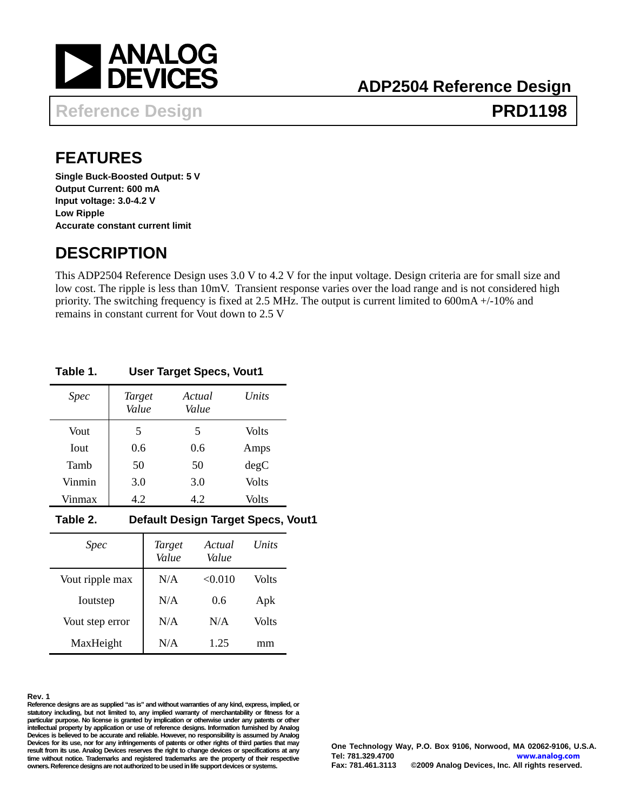<span id="page-0-0"></span>

## **Reference Design Contract Contract PRD1198**

## **FEATURES**

**Single Buck-Boosted Output: 5 V Output Current: 600 mA Input voltage: 3.0-4.2 V Low Ripple Accurate constant current limit** 

### **DESCRIPTION**

This ADP2504 Reference Design uses 3.0 V to 4.2 V for the input voltage. Design criteria are for small size and low cost. The ripple is less than 10mV. Transient response varies over the load range and is not considered high priority. The switching frequency is fixed at 2.5 MHz. The output is current limited to 600mA +/-10% and remains in constant current for Vout down to 2.5 V

#### **Table 1. User Target Specs, Vout1**

| <i>Spec</i>  | Target<br>Value | Actual<br>Value | Units |
|--------------|-----------------|-----------------|-------|
| Vout         | 5               | 5               | Volts |
| <b>I</b> out | 0.6             | 0.6             | Amps  |
| Tamb         | 50              | 50              | degC  |
| Vinmin       | 3.0             | 3.0             | Volts |
| Vinmax       | 4.2             | 4.2             | Volts |

#### **Table 2. Default Design Target Specs, Vout1**

| <i>Spec</i>     | <b>Target</b><br>Value | Actual<br>Value | Units |
|-----------------|------------------------|-----------------|-------|
| Vout ripple max | N/A                    | < 0.010         | Volts |
| Ioutstep        | N/A                    | 0.6             | Apk   |
| Vout step error | N/A                    | N/A             | Volts |
| MaxHeight       | N/A                    | 1.25            | mm    |

#### **Rev. 1**

**Reference designs are as supplied "as is" and without warranties of any kind, express, implied, or statutory including, but not limited to, any implied warranty of merchantability or fitness for a particular purpose. No license is granted by implication or otherwise under any patents or other intellectual property by application or use of reference designs. Information furnished by Analog Devices is believed to be accurate and reliable. However, no responsibility is assumed by Analog Devices for its use, nor for any infringements of patents or other rights of third parties that may result from its use. Analog Devices reserves the right to change devices or specifications at any time without notice. Trademarks and registered trademarks are the property of their respective owners. Reference designs are not authorized to be used in life support devices or systems.**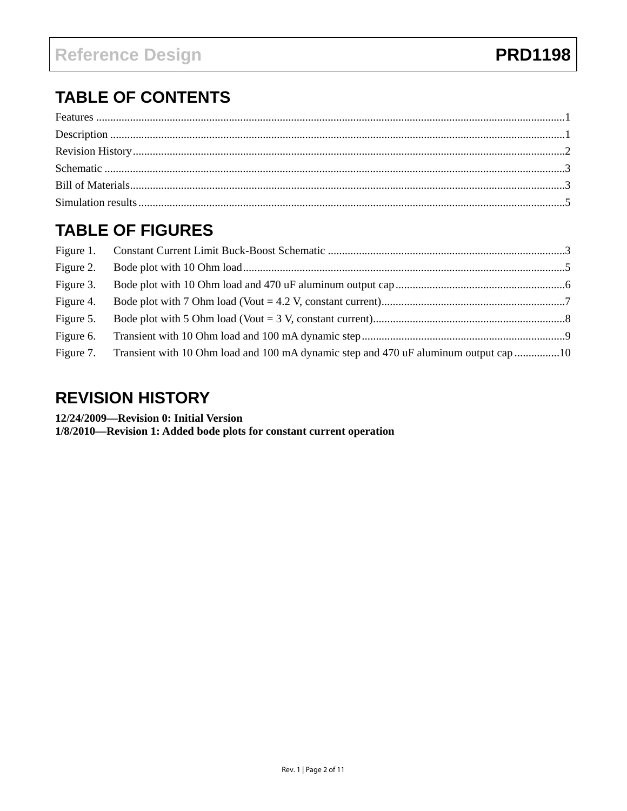# <span id="page-1-0"></span>**TABLE OF CONTENTS**

#### **TABLE OF FIGURES**

| Figure 3. |                                                                                                |  |
|-----------|------------------------------------------------------------------------------------------------|--|
| Figure 4. |                                                                                                |  |
| Figure 5. |                                                                                                |  |
|           |                                                                                                |  |
|           | Figure 7. Transient with 10 Ohm load and 100 mA dynamic step and 470 uF aluminum output cap 10 |  |

#### **REVISION HISTORY**

12/24/2009—Revision 0: Initial Version

1/8/2010-Revision 1: Added bode plots for constant current operation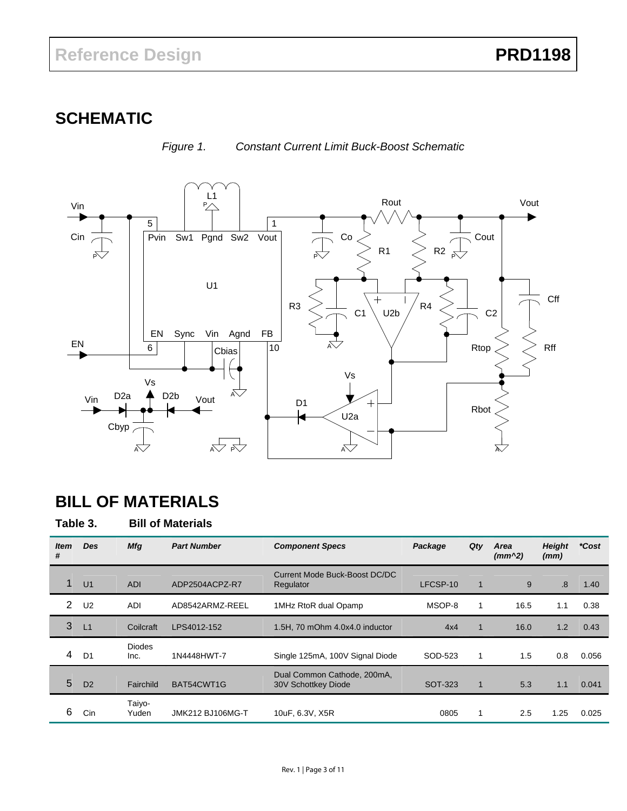## <span id="page-2-0"></span>**SCHEMATIC**



*Figure 1. Constant Current Limit Buck-Boost Schematic* 

## **BILL OF MATERIALS**

**Table 3. Bill of Materials** 

| <b>Item</b><br># | <b>Des</b>     | <b>Mfg</b>            | <b>Part Number</b> | <b>Component Specs</b>                             | Package  | Qty                  | Area<br>$(mm^2)$ | <b>Height</b><br>(mm) | *Cost |
|------------------|----------------|-----------------------|--------------------|----------------------------------------------------|----------|----------------------|------------------|-----------------------|-------|
|                  | U <sub>1</sub> | <b>ADI</b>            | ADP2504ACPZ-R7     | Current Mode Buck-Boost DC/DC<br>Regulator         | LFCSP-10 | $\mathbf 1$          | 9                | .8                    | 1.40  |
| 2                | U <sub>2</sub> | <b>ADI</b>            | AD8542ARMZ-REEL    | 1MHz RtoR dual Opamp                               | MSOP-8   | 1                    | 16.5             | 1.1                   | 0.38  |
| 3                | L1             | Coilcraft             | LPS4012-152        | 1.5H, 70 mOhm 4.0x4.0 inductor                     | 4x4      | $\blacktriangleleft$ | 16.0             | 1.2                   | 0.43  |
| 4                | D <sub>1</sub> | <b>Diodes</b><br>Inc. | 1N4448HWT-7        | Single 125mA, 100V Signal Diode                    | SOD-523  | 1                    | 1.5              | 0.8                   | 0.056 |
| 5                | D <sub>2</sub> | Fairchild             | BAT54CWT1G         | Dual Common Cathode, 200mA,<br>30V Schottkey Diode | SOT-323  | $\blacktriangleleft$ | 5.3              | 1.1                   | 0.041 |
| 6                | Cin            | Taiyo-<br>Yuden       | JMK212 BJ106MG-T   | 10uF, 6.3V, X5R                                    | 0805     | 1                    | 2.5              | 1.25                  | 0.025 |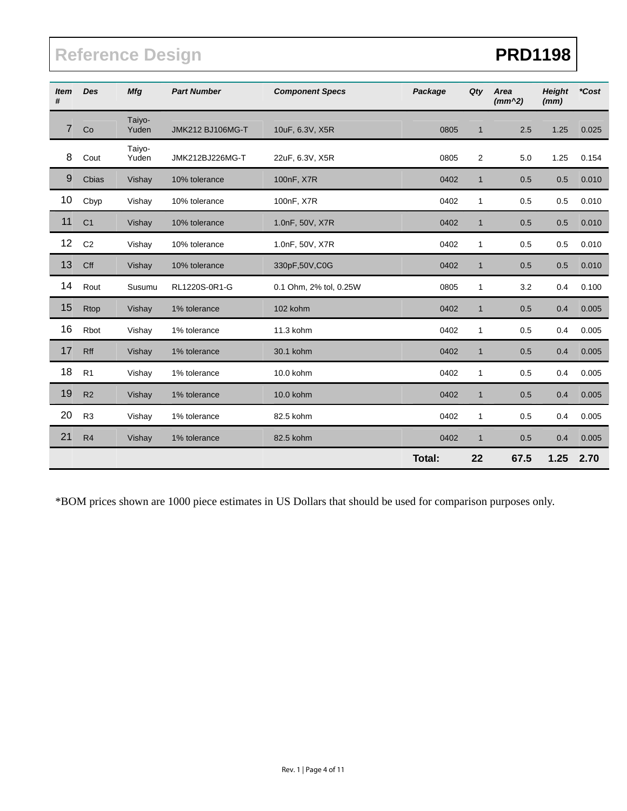# Reference Design **PRD1198**

| <b>Item</b><br># | Des            | <b>Mfg</b>      | <b>Part Number</b> | <b>Component Specs</b> | Package       | Qty          | Area<br>$(mm^2)$ | <b>Height</b><br>(mm) | *Cost |
|------------------|----------------|-----------------|--------------------|------------------------|---------------|--------------|------------------|-----------------------|-------|
| 7                | Co             | Taiyo-<br>Yuden | JMK212 BJ106MG-T   | 10uF, 6.3V, X5R        | 0805          | $\mathbf{1}$ | 2.5              | 1.25                  | 0.025 |
| 8                | Cout           | Taiyo-<br>Yuden | JMK212BJ226MG-T    | 22uF, 6.3V, X5R        | 0805          | 2            | 5.0              | 1.25                  | 0.154 |
| 9                | Cbias          | Vishay          | 10% tolerance      | 100nF, X7R             | 0402          | $\mathbf{1}$ | 0.5              | 0.5                   | 0.010 |
| 10               | Cbyp           | Vishay          | 10% tolerance      | 100nF, X7R             | 0402          | $\mathbf{1}$ | 0.5              | 0.5                   | 0.010 |
| 11               | C <sub>1</sub> | Vishay          | 10% tolerance      | 1.0nF, 50V, X7R        | 0402          | $\mathbf{1}$ | 0.5              | 0.5                   | 0.010 |
| 12               | C <sub>2</sub> | Vishay          | 10% tolerance      | 1.0nF, 50V, X7R        | 0402          | $\mathbf{1}$ | 0.5              | 0.5                   | 0.010 |
| 13               | Cff            | Vishay          | 10% tolerance      | 330pF,50V,C0G          | 0402          | $\mathbf{1}$ | 0.5              | 0.5                   | 0.010 |
| 14               | Rout           | Susumu          | RL1220S-0R1-G      | 0.1 Ohm, 2% tol, 0.25W | 0805          | $\mathbf{1}$ | 3.2              | 0.4                   | 0.100 |
| 15               | Rtop           | Vishay          | 1% tolerance       | 102 kohm               | 0402          | $\mathbf{1}$ | 0.5              | 0.4                   | 0.005 |
| 16               | Rbot           | Vishay          | 1% tolerance       | 11.3 kohm              | 0402          | 1            | 0.5              | 0.4                   | 0.005 |
| 17               | Rff            | Vishay          | 1% tolerance       | 30.1 kohm              | 0402          | $\mathbf{1}$ | 0.5              | 0.4                   | 0.005 |
| 18               | R <sub>1</sub> | Vishay          | 1% tolerance       | 10.0 kohm              | 0402          | $\mathbf{1}$ | 0.5              | 0.4                   | 0.005 |
| 19               | R2             | Vishay          | 1% tolerance       | 10.0 kohm              | 0402          | $\mathbf{1}$ | 0.5              | 0.4                   | 0.005 |
| 20               | R <sub>3</sub> | Vishay          | 1% tolerance       | 82.5 kohm              | 0402          | $\mathbf{1}$ | 0.5              | 0.4                   | 0.005 |
| 21               | R4             | Vishay          | 1% tolerance       | 82.5 kohm              | 0402          | $\mathbf 1$  | 0.5              | 0.4                   | 0.005 |
|                  |                |                 |                    |                        | <b>Total:</b> | 22           | 67.5             | 1.25                  | 2.70  |

\*BOM prices shown are 1000 piece estimates in US Dollars that should be used for comparison purposes only.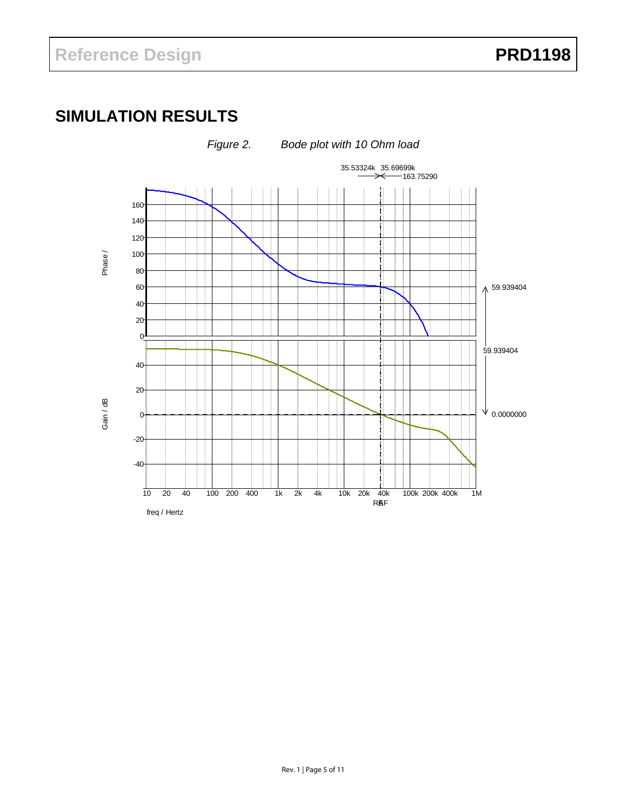# <span id="page-4-0"></span>**SIMULATION RESULTS**

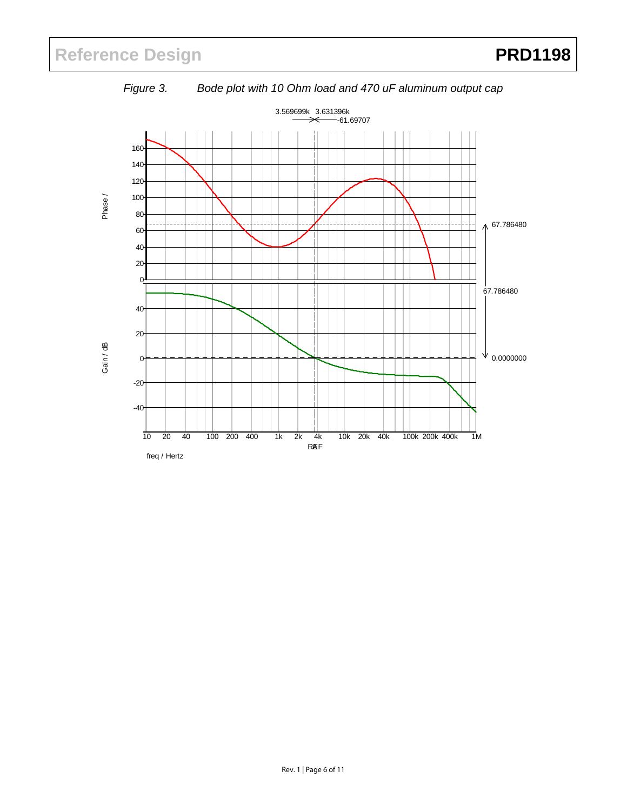<span id="page-5-0"></span>

*Figure 3. Bode plot with 10 Ohm load and 470 uF aluminum output cap*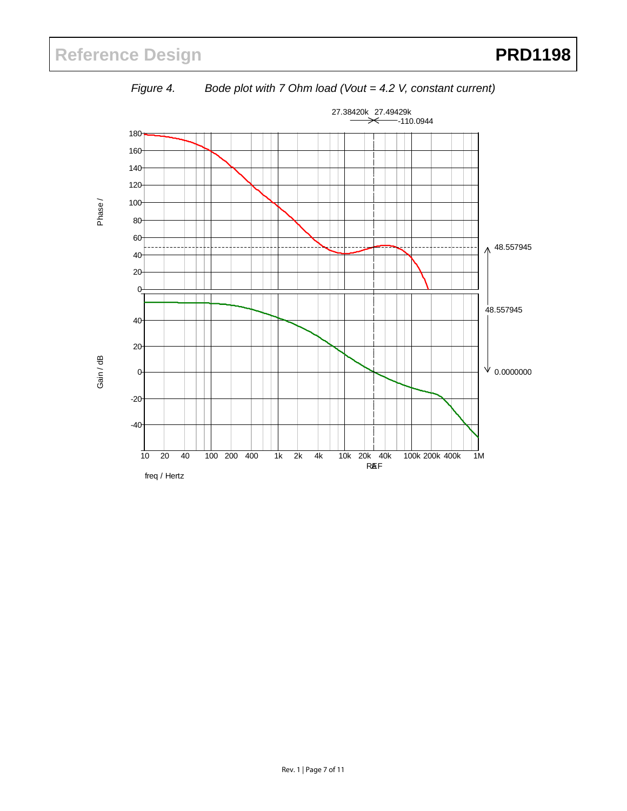<span id="page-6-0"></span>

*Figure 4. Bode plot with 7 Ohm load (Vout = 4.2 V, constant current)*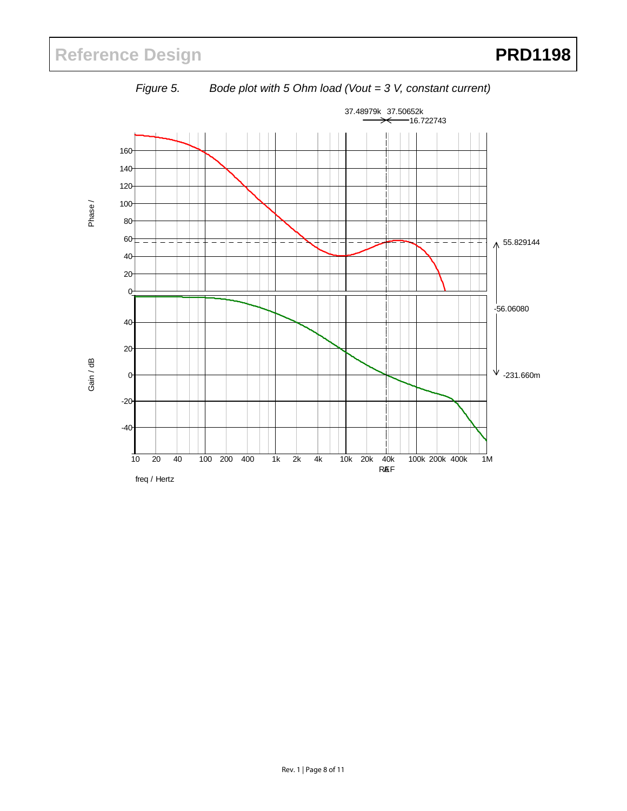<span id="page-7-0"></span>

*Figure 5. Bode plot with 5 Ohm load (Vout = 3 V, constant current)* 

freq / Hertz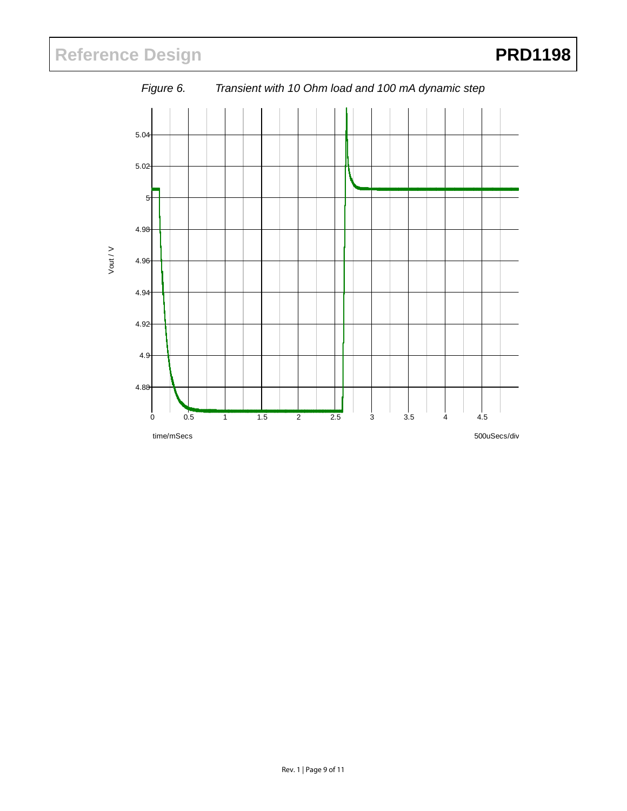# <span id="page-8-0"></span>Reference Design **PRD1198**

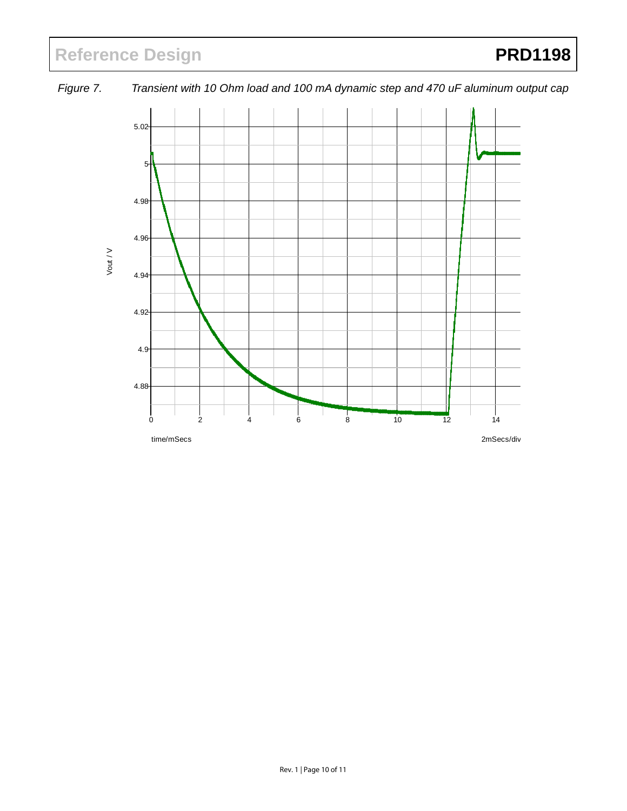# <span id="page-9-0"></span>Reference Design **PRD1198**